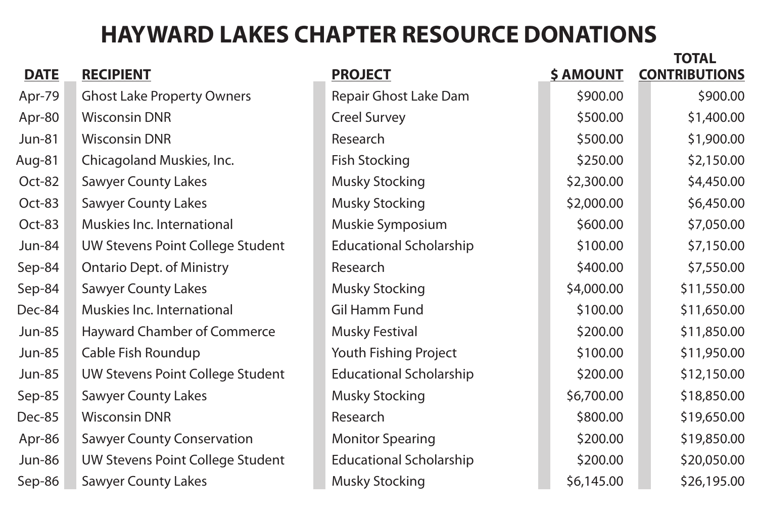|                                         |                                |                  | <b>TOTAL</b>         |
|-----------------------------------------|--------------------------------|------------------|----------------------|
| <b>RECIPIENT</b>                        | <b>PROJECT</b>                 | <b>\$ AMOUNT</b> | <b>CONTRIBUTIONS</b> |
| <b>Ghost Lake Property Owners</b>       | <b>Repair Ghost Lake Dam</b>   | \$900.00         | \$900.00             |
| <b>Wisconsin DNR</b>                    | <b>Creel Survey</b>            | \$500.00         | \$1,400.00           |
| <b>Wisconsin DNR</b>                    | Research                       | \$500.00         | \$1,900.00           |
| Chicagoland Muskies, Inc.               | <b>Fish Stocking</b>           | \$250.00         | \$2,150.00           |
| <b>Sawyer County Lakes</b>              | <b>Musky Stocking</b>          | \$2,300.00       | \$4,450.00           |
| <b>Sawyer County Lakes</b>              | <b>Musky Stocking</b>          | \$2,000.00       | \$6,450.00           |
| Muskies Inc. International              | Muskie Symposium               | \$600.00         | \$7,050.00           |
| UW Stevens Point College Student        | <b>Educational Scholarship</b> | \$100.00         | \$7,150.00           |
| <b>Ontario Dept. of Ministry</b>        | Research                       | \$400.00         | \$7,550.00           |
| <b>Sawyer County Lakes</b>              | <b>Musky Stocking</b>          | \$4,000.00       | \$11,550.00          |
| <b>Muskies Inc. International</b>       | Gil Hamm Fund                  | \$100.00         | \$11,650.00          |
| <b>Hayward Chamber of Commerce</b>      | <b>Musky Festival</b>          | \$200.00         | \$11,850.00          |
| <b>Cable Fish Roundup</b>               | Youth Fishing Project          | \$100.00         | \$11,950.00          |
| <b>UW Stevens Point College Student</b> | <b>Educational Scholarship</b> | \$200.00         | \$12,150.00          |
| <b>Sawyer County Lakes</b>              | <b>Musky Stocking</b>          | \$6,700.00       | \$18,850.00          |
| <b>Wisconsin DNR</b>                    | Research                       | \$800.00         | \$19,650.00          |
| <b>Sawyer County Conservation</b>       | <b>Monitor Spearing</b>        | \$200.00         | \$19,850.00          |
| UW Stevens Point College Student        | <b>Educational Scholarship</b> | \$200.00         | \$20,050.00          |
| <b>Sawyer County Lakes</b>              | <b>Musky Stocking</b>          | \$6,145.00       | \$26,195.00          |
|                                         |                                |                  |                      |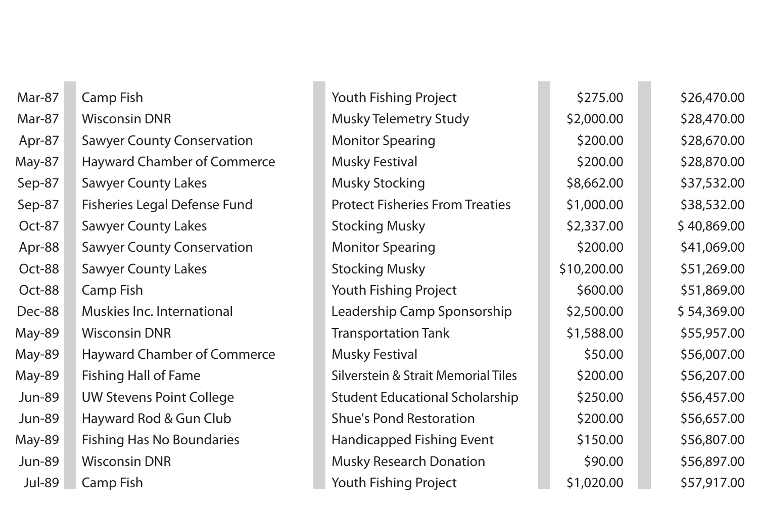| Mar-87        | <b>Camp Fish</b>                    | Youth Fishing Project                          | \$275.00    | \$26,470.00 |
|---------------|-------------------------------------|------------------------------------------------|-------------|-------------|
| Mar-87        | <b>Wisconsin DNR</b>                | <b>Musky Telemetry Study</b>                   | \$2,000.00  | \$28,470.00 |
| Apr-87        | <b>Sawyer County Conservation</b>   | <b>Monitor Spearing</b>                        | \$200.00    | \$28,670.00 |
| May-87        | <b>Hayward Chamber of Commerce</b>  | <b>Musky Festival</b>                          | \$200.00    | \$28,870.00 |
| Sep-87        | <b>Sawyer County Lakes</b>          | <b>Musky Stocking</b>                          | \$8,662.00  | \$37,532.00 |
| Sep-87        | <b>Fisheries Legal Defense Fund</b> | <b>Protect Fisheries From Treaties</b>         | \$1,000.00  | \$38,532.00 |
| Oct-87        | <b>Sawyer County Lakes</b>          | <b>Stocking Musky</b>                          | \$2,337.00  | \$40,869.00 |
| Apr-88        | <b>Sawyer County Conservation</b>   | <b>Monitor Spearing</b>                        | \$200.00    | \$41,069.00 |
| Oct-88        | <b>Sawyer County Lakes</b>          | <b>Stocking Musky</b>                          | \$10,200.00 | \$51,269.00 |
| Oct-88        | <b>Camp Fish</b>                    | <b>Youth Fishing Project</b>                   | \$600.00    | \$51,869.00 |
| Dec-88        | Muskies Inc. International          | Leadership Camp Sponsorship                    | \$2,500.00  | \$54,369.00 |
| May-89        | <b>Wisconsin DNR</b>                | <b>Transportation Tank</b>                     | \$1,588.00  | \$55,957.00 |
| May-89        | <b>Hayward Chamber of Commerce</b>  | <b>Musky Festival</b>                          | \$50.00     | \$56,007.00 |
| May-89        | <b>Fishing Hall of Fame</b>         | <b>Silverstein &amp; Strait Memorial Tiles</b> | \$200.00    | \$56,207.00 |
| <b>Jun-89</b> | <b>UW Stevens Point College</b>     | <b>Student Educational Scholarship</b>         | \$250.00    | \$56,457.00 |
| Jun-89        | Hayward Rod & Gun Club              | <b>Shue's Pond Restoration</b>                 | \$200.00    | \$56,657.00 |
| May-89        | <b>Fishing Has No Boundaries</b>    | <b>Handicapped Fishing Event</b>               | \$150.00    | \$56,807.00 |
| <b>Jun-89</b> | <b>Wisconsin DNR</b>                | <b>Musky Research Donation</b>                 | \$90.00     | \$56,897.00 |
| <b>Jul-89</b> | Camp Fish                           | <b>Youth Fishing Project</b>                   | \$1,020.00  | \$57,917.00 |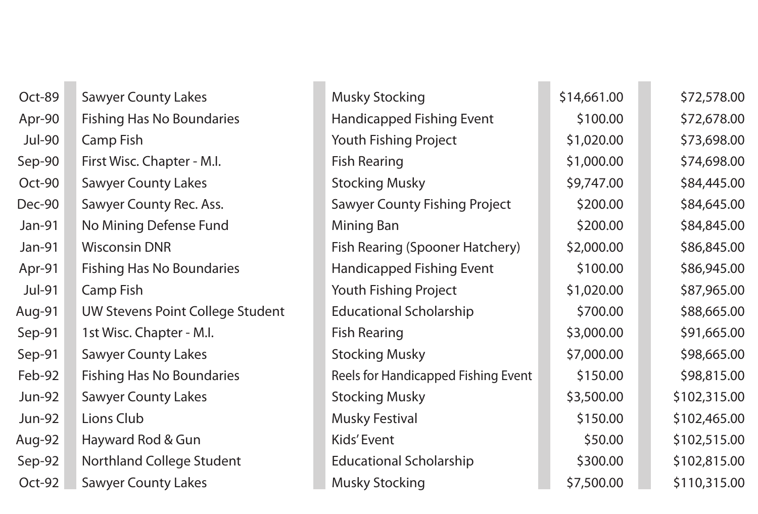| Oct-89        | <b>Sawyer County Lakes</b>              | <b>Musky Stocking</b>                      | \$14,661.00 | \$72,578.00  |
|---------------|-----------------------------------------|--------------------------------------------|-------------|--------------|
| Apr-90        | <b>Fishing Has No Boundaries</b>        | <b>Handicapped Fishing Event</b>           | \$100.00    | \$72,678.00  |
| <b>Jul-90</b> | Camp Fish                               | Youth Fishing Project                      | \$1,020.00  | \$73,698.00  |
| Sep-90        | First Wisc. Chapter - M.I.              | <b>Fish Rearing</b>                        | \$1,000.00  | \$74,698.00  |
| Oct-90        | <b>Sawyer County Lakes</b>              | <b>Stocking Musky</b>                      | \$9,747.00  | \$84,445.00  |
| Dec-90        | <b>Sawyer County Rec. Ass.</b>          | <b>Sawyer County Fishing Project</b>       | \$200.00    | \$84,645.00  |
| Jan-91        | No Mining Defense Fund                  | <b>Mining Ban</b>                          | \$200.00    | \$84,845.00  |
| Jan-91        | <b>Wisconsin DNR</b>                    | <b>Fish Rearing (Spooner Hatchery)</b>     | \$2,000.00  | \$86,845.00  |
| Apr-91        | <b>Fishing Has No Boundaries</b>        | <b>Handicapped Fishing Event</b>           | \$100.00    | \$86,945.00  |
| Jul-91        | Camp Fish                               | <b>Youth Fishing Project</b>               | \$1,020.00  | \$87,965.00  |
| Aug-91        | <b>UW Stevens Point College Student</b> | <b>Educational Scholarship</b>             | \$700.00    | \$88,665.00  |
| Sep-91        | 1st Wisc. Chapter - M.I.                | <b>Fish Rearing</b>                        | \$3,000.00  | \$91,665.00  |
| Sep-91        | <b>Sawyer County Lakes</b>              | <b>Stocking Musky</b>                      | \$7,000.00  | \$98,665.00  |
| Feb-92        | <b>Fishing Has No Boundaries</b>        | <b>Reels for Handicapped Fishing Event</b> | \$150.00    | \$98,815.00  |
| <b>Jun-92</b> | <b>Sawyer County Lakes</b>              | <b>Stocking Musky</b>                      | \$3,500.00  | \$102,315.00 |
| <b>Jun-92</b> | Lions Club                              | <b>Musky Festival</b>                      | \$150.00    | \$102,465.00 |
| Aug-92        | Hayward Rod & Gun                       | Kids' Event                                | \$50.00     | \$102,515.00 |
| Sep-92        | <b>Northland College Student</b>        | <b>Educational Scholarship</b>             | \$300.00    | \$102,815.00 |
| Oct-92        | <b>Sawyer County Lakes</b>              | <b>Musky Stocking</b>                      | \$7,500.00  | \$110,315.00 |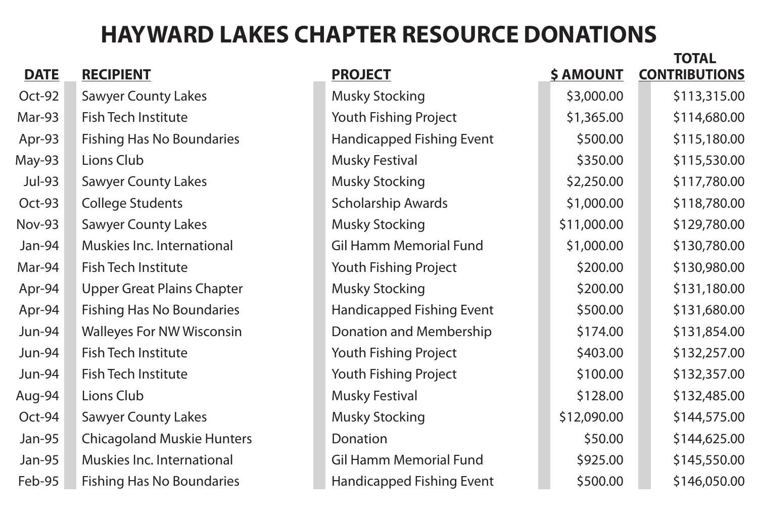|               |                                   |                                  |                  | <b>TOTAL</b>         |
|---------------|-----------------------------------|----------------------------------|------------------|----------------------|
| <b>DATE</b>   | <b>RECIPIENT</b>                  | <b>PROJECT</b>                   | <b>\$ AMOUNT</b> | <b>CONTRIBUTIONS</b> |
| Oct-92        | <b>Sawyer County Lakes</b>        | <b>Musky Stocking</b>            | \$3,000.00       | \$113,315.00         |
| Mar-93        | <b>Fish Tech Institute</b>        | <b>Youth Fishing Project</b>     | \$1,365.00       | \$114,680.00         |
| Apr-93        | <b>Fishing Has No Boundaries</b>  | <b>Handicapped Fishing Event</b> | \$500.00         | \$115,180.00         |
| May-93        | Lions Club                        | <b>Musky Festival</b>            | \$350.00         | \$115,530.00         |
| <b>Jul-93</b> | <b>Sawyer County Lakes</b>        | <b>Musky Stocking</b>            | \$2,250.00       | \$117,780.00         |
| Oct-93        | <b>College Students</b>           | <b>Scholarship Awards</b>        | \$1,000.00       | \$118,780.00         |
| <b>Nov-93</b> | <b>Sawyer County Lakes</b>        | <b>Musky Stocking</b>            | \$11,000.00      | \$129,780.00         |
| Jan-94        | Muskies Inc. International        | <b>Gil Hamm Memorial Fund</b>    | \$1,000.00       | \$130,780.00         |
| Mar-94        | <b>Fish Tech Institute</b>        | <b>Youth Fishing Project</b>     | \$200.00         | \$130,980.00         |
| Apr-94        | <b>Upper Great Plains Chapter</b> | <b>Musky Stocking</b>            | \$200.00         | \$131,180.00         |
| Apr-94        | <b>Fishing Has No Boundaries</b>  | <b>Handicapped Fishing Event</b> | \$500.00         | \$131,680.00         |
| <b>Jun-94</b> | <b>Walleyes For NW Wisconsin</b>  | <b>Donation and Membership</b>   | \$174.00         | \$131,854.00         |
| Jun-94        | Fish Tech Institute               | Youth Fishing Project            | \$403.00         | \$132,257.00         |
| <b>Jun-94</b> | <b>Fish Tech Institute</b>        | <b>Youth Fishing Project</b>     | \$100.00         | \$132,357.00         |
| Aug-94        | Lions Club                        | <b>Musky Festival</b>            | \$128.00         | \$132,485.00         |
| Oct-94        | <b>Sawyer County Lakes</b>        | <b>Musky Stocking</b>            | \$12,090.00      | \$144,575.00         |
| Jan-95        | <b>Chicagoland Muskie Hunters</b> | Donation                         | \$50.00          | \$144,625.00         |
| Jan-95        | Muskies Inc. International        | <b>Gil Hamm Memorial Fund</b>    | \$925.00         | \$145,550.00         |
| Feb-95        | <b>Fishing Has No Boundaries</b>  | <b>Handicapped Fishing Event</b> | \$500.00         | \$146,050.00         |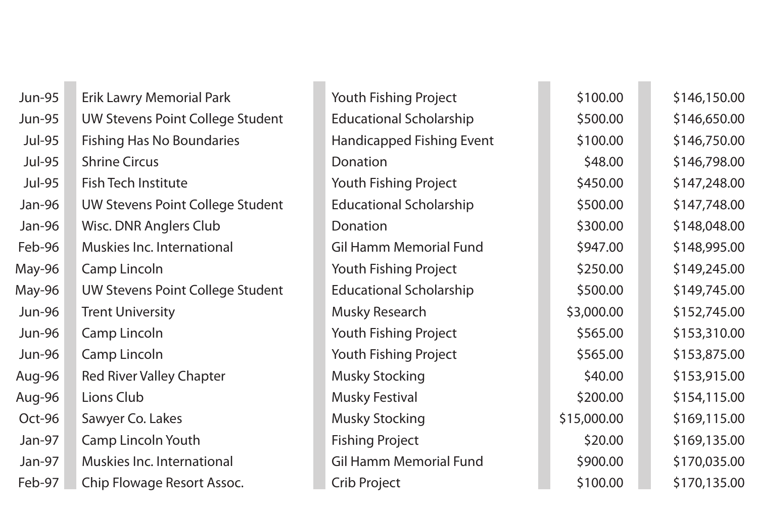| <b>Jun-95</b> | <b>Erik Lawry Memorial Park</b>         | <b>Youth Fishing Project</b>     | \$100.00    | \$146,150.00 |
|---------------|-----------------------------------------|----------------------------------|-------------|--------------|
| <b>Jun-95</b> | <b>UW Stevens Point College Student</b> | <b>Educational Scholarship</b>   | \$500.00    | \$146,650.00 |
| <b>Jul-95</b> | <b>Fishing Has No Boundaries</b>        | <b>Handicapped Fishing Event</b> | \$100.00    | \$146,750.00 |
| <b>Jul-95</b> | <b>Shrine Circus</b>                    | Donation                         | \$48.00     | \$146,798.00 |
| <b>Jul-95</b> | <b>Fish Tech Institute</b>              | <b>Youth Fishing Project</b>     | \$450.00    | \$147,248.00 |
| Jan-96        | <b>UW Stevens Point College Student</b> | <b>Educational Scholarship</b>   | \$500.00    | \$147,748.00 |
| Jan-96        | Wisc. DNR Anglers Club                  | Donation                         | \$300.00    | \$148,048.00 |
| Feb-96        | Muskies Inc. International              | <b>Gil Hamm Memorial Fund</b>    | \$947.00    | \$148,995.00 |
| May-96        | <b>Camp Lincoln</b>                     | <b>Youth Fishing Project</b>     | \$250.00    | \$149,245.00 |
| May-96        | <b>UW Stevens Point College Student</b> | <b>Educational Scholarship</b>   | \$500.00    | \$149,745.00 |
| <b>Jun-96</b> | <b>Trent University</b>                 | <b>Musky Research</b>            | \$3,000.00  | \$152,745.00 |
| <b>Jun-96</b> | <b>Camp Lincoln</b>                     | <b>Youth Fishing Project</b>     | \$565.00    | \$153,310.00 |
| <b>Jun-96</b> | <b>Camp Lincoln</b>                     | <b>Youth Fishing Project</b>     | \$565.00    | \$153,875.00 |
| Aug-96        | <b>Red River Valley Chapter</b>         | <b>Musky Stocking</b>            | \$40.00     | \$153,915.00 |
| Aug-96        | Lions Club                              | <b>Musky Festival</b>            | \$200.00    | \$154,115.00 |
| Oct-96        | Sawyer Co. Lakes                        | <b>Musky Stocking</b>            | \$15,000.00 | \$169,115.00 |
| Jan-97        | <b>Camp Lincoln Youth</b>               | <b>Fishing Project</b>           | \$20.00     | \$169,135.00 |
| Jan-97        | Muskies Inc. International              | <b>Gil Hamm Memorial Fund</b>    | \$900.00    | \$170,035.00 |
| Feb-97        | Chip Flowage Resort Assoc.              | <b>Crib Project</b>              | \$100.00    | \$170,135.00 |
|               |                                         |                                  |             |              |

| roject           | \$100.00    | \$146,150.00 |
|------------------|-------------|--------------|
| <b>nolarship</b> | \$500.00    | \$146,650.00 |
| ishing Event     | \$100.00    | \$146,750.00 |
|                  | \$48.00     | \$146,798.00 |
| roject           | \$450.00    | \$147,248.00 |
| <b>nolarship</b> | \$500.00    | \$147,748.00 |
|                  | \$300.00    | \$148,048.00 |
| orial Fund       | \$947.00    | \$148,995.00 |
| roject           | \$250.00    | \$149,245.00 |
| <b>nolarship</b> | \$500.00    | \$149,745.00 |
|                  | \$3,000.00  | \$152,745.00 |
| roject           | \$565.00    | \$153,310.00 |
| roject           | \$565.00    | \$153,875.00 |
|                  | \$40.00     | \$153,915.00 |
|                  | \$200.00    | \$154,115.00 |
|                  | \$15,000.00 | \$169,115.00 |
|                  | \$20.00     | \$169,135.00 |
| orial Fund       | \$900.00    | \$170,035.00 |
|                  | \$100.00    | \$170,135.00 |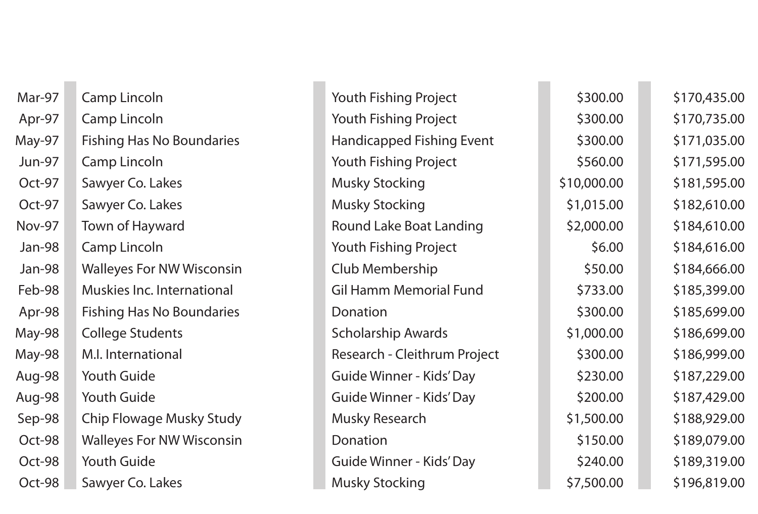| Mar-97        | <b>Camp Lincoln</b>              |
|---------------|----------------------------------|
| Apr-97        | <b>Camp Lincoln</b>              |
| May-97        | <b>Fishing Has No Boundaries</b> |
| <b>Jun-97</b> | <b>Camp Lincoln</b>              |
| Oct-97        | Sawyer Co. Lakes                 |
| Oct-97        | Sawyer Co. Lakes                 |
| <b>Nov-97</b> | <b>Town of Hayward</b>           |
| Jan-98        | <b>Camp Lincoln</b>              |
| Jan-98        | <b>Walleyes For NW Wisconsin</b> |
| Feb-98        | Muskies Inc. International       |
| Apr-98        | <b>Fishing Has No Boundaries</b> |
| May-98        | <b>College Students</b>          |
| May-98        | M.I. International               |
| Aug-98        | Youth Guide                      |
| Aug-98        | <b>Youth Guide</b>               |
| Sep-98        | <b>Chip Flowage Musky Study</b>  |
| Oct-98        | <b>Walleyes For NW Wisconsin</b> |
| Oct-98        | Youth Guide                      |
| Oct-98        | Sawyer Co. Lakes                 |

| Mar-97        | <b>Camp Lincoln</b>              | <b>Youth Fishing Project</b>        | \$300.00    | \$170,435.00 |
|---------------|----------------------------------|-------------------------------------|-------------|--------------|
| Apr-97        | <b>Camp Lincoln</b>              | <b>Youth Fishing Project</b>        | \$300.00    | \$170,735.00 |
| May-97        | <b>Fishing Has No Boundaries</b> | <b>Handicapped Fishing Event</b>    | \$300.00    | \$171,035.00 |
| <b>Jun-97</b> | <b>Camp Lincoln</b>              | <b>Youth Fishing Project</b>        | \$560.00    | \$171,595.00 |
| Oct-97        | Sawyer Co. Lakes                 | <b>Musky Stocking</b>               | \$10,000.00 | \$181,595.00 |
| Oct-97        | Sawyer Co. Lakes                 | <b>Musky Stocking</b>               | \$1,015.00  | \$182,610.00 |
| <b>Nov-97</b> | <b>Town of Hayward</b>           | <b>Round Lake Boat Landing</b>      | \$2,000.00  | \$184,610.00 |
| Jan-98        | <b>Camp Lincoln</b>              | <b>Youth Fishing Project</b>        | \$6.00      | \$184,616.00 |
| Jan-98        | <b>Walleyes For NW Wisconsin</b> | Club Membership                     | \$50.00     | \$184,666.00 |
| Feb-98        | Muskies Inc. International       | <b>Gil Hamm Memorial Fund</b>       | \$733.00    | \$185,399.00 |
| Apr-98        | <b>Fishing Has No Boundaries</b> | Donation                            | \$300.00    | \$185,699.00 |
| May-98        | <b>College Students</b>          | <b>Scholarship Awards</b>           | \$1,000.00  | \$186,699.00 |
| May-98        | M.I. International               | <b>Research - Cleithrum Project</b> | \$300.00    | \$186,999.00 |
| Aug-98        | <b>Youth Guide</b>               | <b>Guide Winner - Kids' Day</b>     | \$230.00    | \$187,229.00 |
| Aug-98        | <b>Youth Guide</b>               | <b>Guide Winner - Kids' Day</b>     | \$200.00    | \$187,429.00 |
| Sep-98        | <b>Chip Flowage Musky Study</b>  | <b>Musky Research</b>               | \$1,500.00  | \$188,929.00 |
| Oct-98        | <b>Walleyes For NW Wisconsin</b> | Donation                            | \$150.00    | \$189,079.00 |
| Oct-98        | <b>Youth Guide</b>               | <b>Guide Winner - Kids' Day</b>     | \$240.00    | \$189,319.00 |
| Oct-98        | Sawyer Co. Lakes                 | <b>Musky Stocking</b>               | \$7,500.00  | \$196,819.00 |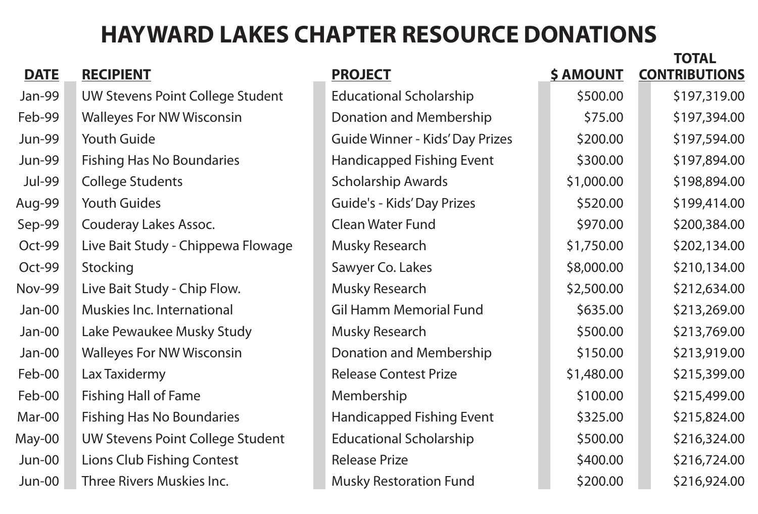|                                         |                                        |                  | IUIAL                |
|-----------------------------------------|----------------------------------------|------------------|----------------------|
| <b>RECIPIENT</b>                        | <b>PROJECT</b>                         | <b>\$ AMOUNT</b> | <b>CONTRIBUTIONS</b> |
| <b>UW Stevens Point College Student</b> | <b>Educational Scholarship</b>         | \$500.00         | \$197,319.00         |
| <b>Walleyes For NW Wisconsin</b>        | <b>Donation and Membership</b>         | \$75.00          | \$197,394.00         |
| <b>Youth Guide</b>                      | <b>Guide Winner - Kids' Day Prizes</b> | \$200.00         | \$197,594.00         |
| <b>Fishing Has No Boundaries</b>        | <b>Handicapped Fishing Event</b>       | \$300.00         | \$197,894.00         |
| <b>College Students</b>                 | <b>Scholarship Awards</b>              | \$1,000.00       | \$198,894.00         |
| <b>Youth Guides</b>                     | <b>Guide's - Kids' Day Prizes</b>      | \$520.00         | \$199,414.00         |
| Couderay Lakes Assoc.                   | <b>Clean Water Fund</b>                | \$970.00         | \$200,384.00         |
| Live Bait Study - Chippewa Flowage      | <b>Musky Research</b>                  | \$1,750.00       | \$202,134.00         |
| Stocking                                | Sawyer Co. Lakes                       | \$8,000.00       | \$210,134.00         |
| Live Bait Study - Chip Flow.            | <b>Musky Research</b>                  | \$2,500.00       | \$212,634.00         |
| Muskies Inc. International              | <b>Gil Hamm Memorial Fund</b>          | \$635.00         | \$213,269.00         |
| Lake Pewaukee Musky Study               | <b>Musky Research</b>                  | \$500.00         | \$213,769.00         |
| <b>Walleyes For NW Wisconsin</b>        | <b>Donation and Membership</b>         | \$150.00         | \$213,919.00         |
| Lax Taxidermy                           | <b>Release Contest Prize</b>           | \$1,480.00       | \$215,399.00         |
| <b>Fishing Hall of Fame</b>             | Membership                             | \$100.00         | \$215,499.00         |
| <b>Fishing Has No Boundaries</b>        | <b>Handicapped Fishing Event</b>       | \$325.00         | \$215,824.00         |
| <b>UW Stevens Point College Student</b> | <b>Educational Scholarship</b>         | \$500.00         | \$216,324.00         |
| <b>Lions Club Fishing Contest</b>       | <b>Release Prize</b>                   | \$400.00         | \$216,724.00         |
| Three Rivers Muskies Inc.               | <b>Musky Restoration Fund</b>          | \$200.00         | \$216,924.00         |
|                                         |                                        |                  |                      |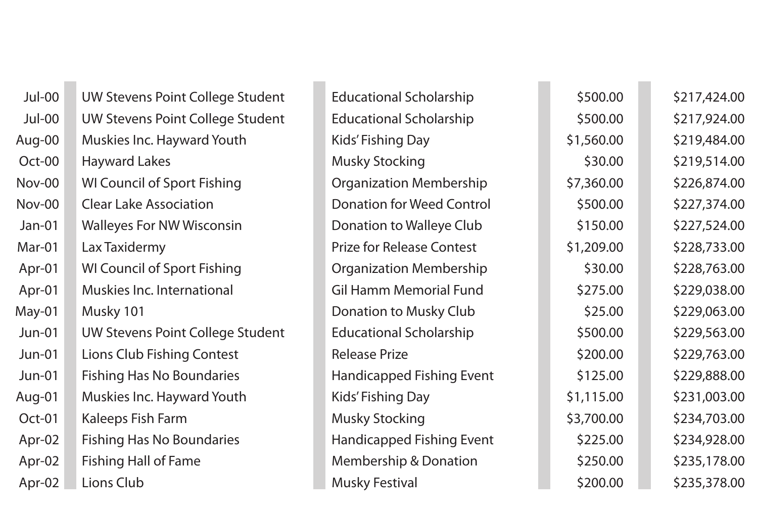| $Jul-00$      | <b>UW Stevens Point College Stuc</b> |
|---------------|--------------------------------------|
| $Jul-00$      | <b>UW Stevens Point College Stuc</b> |
| Aug-00        | <b>Muskies Inc. Hayward Youth</b>    |
| Oct-00        | <b>Hayward Lakes</b>                 |
| $Nov-00$      | <b>WI Council of Sport Fishing</b>   |
| <b>Nov-00</b> | <b>Clear Lake Association</b>        |
| $Jan-01$      | <b>Walleyes For NW Wisconsin</b>     |
| Mar-01        | Lax Taxidermy                        |
| Apr-01        | <b>WI Council of Sport Fishing</b>   |
| Apr-01        | <b>Muskies Inc. International</b>    |
| May-01        | Musky 101                            |
| $Jun-01$      | <b>UW Stevens Point College Stuc</b> |
| $Jun-01$      | <b>Lions Club Fishing Contest</b>    |
| $Jun-01$      | <b>Fishing Has No Boundaries</b>     |
| Aug-01        | <b>Muskies Inc. Hayward Youth</b>    |
| Oct-01        | Kaleeps Fish Farm                    |
| Apr-02        | <b>Fishing Has No Boundaries</b>     |
| Apr-02        | <b>Fishing Hall of Fame</b>          |
| Apr-02        | Lions Club                           |

| Jul-00        | UW Stevens Point College Student        | <b>Educational Scholarship</b>   | \$500.00   | \$217,424.00 |
|---------------|-----------------------------------------|----------------------------------|------------|--------------|
| Jul-00        | <b>UW Stevens Point College Student</b> | <b>Educational Scholarship</b>   | \$500.00   | \$217,924.00 |
| Aug-00        | Muskies Inc. Hayward Youth              | <b>Kids' Fishing Day</b>         | \$1,560.00 | \$219,484.00 |
| Oct-00        | <b>Hayward Lakes</b>                    | <b>Musky Stocking</b>            | \$30.00    | \$219,514.00 |
| <b>Nov-00</b> | <b>WI Council of Sport Fishing</b>      | <b>Organization Membership</b>   | \$7,360.00 | \$226,874.00 |
| Nov-00        | <b>Clear Lake Association</b>           | <b>Donation for Weed Control</b> | \$500.00   | \$227,374.00 |
| $Jan-01$      | <b>Walleyes For NW Wisconsin</b>        | Donation to Walleye Club         | \$150.00   | \$227,524.00 |
| Mar-01        | Lax Taxidermy                           | <b>Prize for Release Contest</b> | \$1,209.00 | \$228,733.00 |
| Apr-01        | <b>WI Council of Sport Fishing</b>      | <b>Organization Membership</b>   | \$30.00    | \$228,763.00 |
| Apr-01        | Muskies Inc. International              | <b>Gil Hamm Memorial Fund</b>    | \$275.00   | \$229,038.00 |
| May-01        | Musky 101                               | Donation to Musky Club           | \$25.00    | \$229,063.00 |
| $Jun-01$      | <b>UW Stevens Point College Student</b> | <b>Educational Scholarship</b>   | \$500.00   | \$229,563.00 |
| $Jun-01$      | <b>Lions Club Fishing Contest</b>       | <b>Release Prize</b>             | \$200.00   | \$229,763.00 |
| $Jun-01$      | <b>Fishing Has No Boundaries</b>        | <b>Handicapped Fishing Event</b> | \$125.00   | \$229,888.00 |
| Aug-01        | <b>Muskies Inc. Hayward Youth</b>       | Kids' Fishing Day                | \$1,115.00 | \$231,003.00 |
| Oct-01        | Kaleeps Fish Farm                       | <b>Musky Stocking</b>            | \$3,700.00 | \$234,703.00 |
| Apr-02        | <b>Fishing Has No Boundaries</b>        | <b>Handicapped Fishing Event</b> | \$225.00   | \$234,928.00 |
| Apr-02        | <b>Fishing Hall of Fame</b>             | <b>Membership &amp; Donation</b> | \$250.00   | \$235,178.00 |
| Apr-02        | Lions Club                              | <b>Musky Festival</b>            | \$200.00   | \$235,378.00 |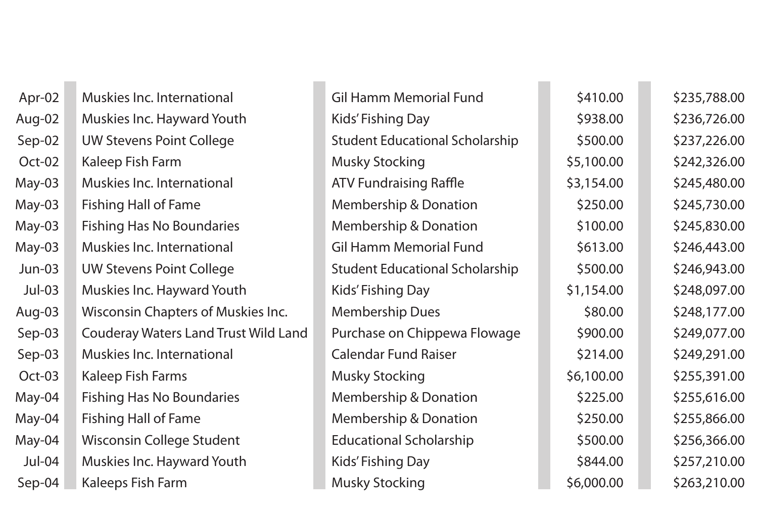| Apr-02   | Muskies Inc. International                  |
|----------|---------------------------------------------|
| Aug-02   | Muskies Inc. Hayward Youth                  |
| Sep-02   | <b>UW Stevens Point College</b>             |
| Oct-02   | Kaleep Fish Farm                            |
| May-03   | Muskies Inc. International                  |
| May-03   | <b>Fishing Hall of Fame</b>                 |
| May-03   | <b>Fishing Has No Boundaries</b>            |
| May-03   | <b>Muskies Inc. International</b>           |
| $Jun-03$ | <b>UW Stevens Point College</b>             |
| $Jul-03$ | <b>Muskies Inc. Hayward Youth</b>           |
| Aug-03   | <b>Wisconsin Chapters of Muskies Inc.</b>   |
| Sep-03   | <b>Couderay Waters Land Trust Wild Land</b> |
| Sep-03   | <b>Muskies Inc. International</b>           |
| Oct-03   | <b>Kaleep Fish Farms</b>                    |
| May-04   | <b>Fishing Has No Boundaries</b>            |
| May-04   | <b>Fishing Hall of Fame</b>                 |
| May-04   | Wisconsin College Student                   |
| Jul-04   | Muskies Inc. Hayward Youth                  |
| Sep-04   | Kaleeps Fish Farm                           |

| Apr-02   | Muskies Inc. International                  | <b>Gil Hamm Memorial Fund</b>          | \$410.00   | \$235,788.00 |
|----------|---------------------------------------------|----------------------------------------|------------|--------------|
| Aug-02   | Muskies Inc. Hayward Youth                  | Kids' Fishing Day                      | \$938.00   | \$236,726.00 |
| Sep-02   | <b>UW Stevens Point College</b>             | <b>Student Educational Scholarship</b> | \$500.00   | \$237,226.00 |
| Oct-02   | Kaleep Fish Farm                            | <b>Musky Stocking</b>                  | \$5,100.00 | \$242,326.00 |
| May-03   | Muskies Inc. International                  | <b>ATV Fundraising Raffle</b>          | \$3,154.00 | \$245,480.00 |
| May-03   | <b>Fishing Hall of Fame</b>                 | <b>Membership &amp; Donation</b>       | \$250.00   | \$245,730.00 |
| May-03   | <b>Fishing Has No Boundaries</b>            | <b>Membership &amp; Donation</b>       | \$100.00   | \$245,830.00 |
| May-03   | Muskies Inc. International                  | <b>Gil Hamm Memorial Fund</b>          | \$613.00   | \$246,443.00 |
| $Jun-03$ | <b>UW Stevens Point College</b>             | <b>Student Educational Scholarship</b> | \$500.00   | \$246,943.00 |
| $Jul-03$ | Muskies Inc. Hayward Youth                  | <b>Kids' Fishing Day</b>               | \$1,154.00 | \$248,097.00 |
| Aug-03   | <b>Wisconsin Chapters of Muskies Inc.</b>   | <b>Membership Dues</b>                 | \$80.00    | \$248,177.00 |
| Sep-03   | <b>Couderay Waters Land Trust Wild Land</b> | Purchase on Chippewa Flowage           | \$900.00   | \$249,077.00 |
| Sep-03   | Muskies Inc. International                  | <b>Calendar Fund Raiser</b>            | \$214.00   | \$249,291.00 |
| Oct-03   | <b>Kaleep Fish Farms</b>                    | <b>Musky Stocking</b>                  | \$6,100.00 | \$255,391.00 |
| May-04   | <b>Fishing Has No Boundaries</b>            | <b>Membership &amp; Donation</b>       | \$225.00   | \$255,616.00 |
| May-04   | <b>Fishing Hall of Fame</b>                 | <b>Membership &amp; Donation</b>       | \$250.00   | \$255,866.00 |
| May-04   | <b>Wisconsin College Student</b>            | <b>Educational Scholarship</b>         | \$500.00   | \$256,366.00 |
| $Jul-04$ | Muskies Inc. Hayward Youth                  | Kids' Fishing Day                      | \$844.00   | \$257,210.00 |
| Sep-04   | Kaleeps Fish Farm                           | <b>Musky Stocking</b>                  | \$6,000.00 | \$263,210.00 |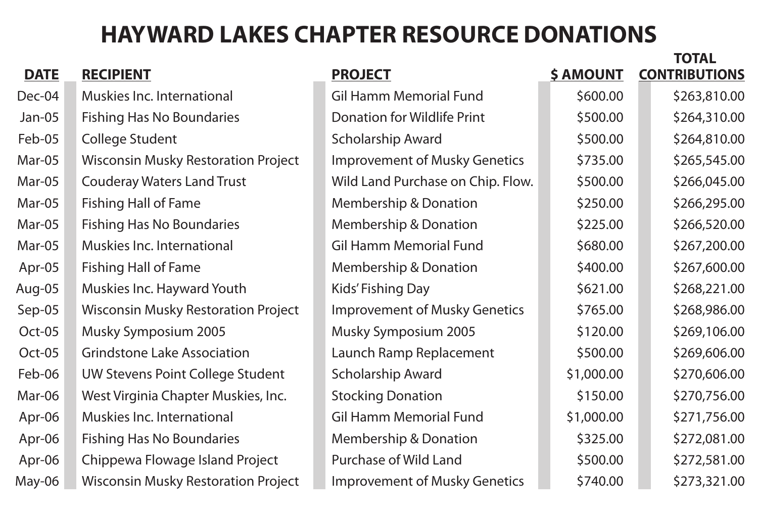|             |                                            |                                      |                  | IVIAL                |
|-------------|--------------------------------------------|--------------------------------------|------------------|----------------------|
| <b>DATE</b> | <b>RECIPIENT</b>                           | <b>PROJECT</b>                       | <b>\$ AMOUNT</b> | <b>CONTRIBUTIONS</b> |
| Dec-04      | Muskies Inc. International                 | <b>Gil Hamm Memorial Fund</b>        | \$600.00         | \$263,810.00         |
| Jan-05      | <b>Fishing Has No Boundaries</b>           | <b>Donation for Wildlife Print</b>   | \$500.00         | \$264,310.00         |
| Feb-05      | <b>College Student</b>                     | <b>Scholarship Award</b>             | \$500.00         | \$264,810.00         |
| Mar-05      | <b>Wisconsin Musky Restoration Project</b> | <b>Improvement of Musky Genetics</b> | \$735.00         | \$265,545.00         |
| Mar-05      | <b>Couderay Waters Land Trust</b>          | Wild Land Purchase on Chip. Flow.    | \$500.00         | \$266,045.00         |
| Mar-05      | <b>Fishing Hall of Fame</b>                | <b>Membership &amp; Donation</b>     | \$250.00         | \$266,295.00         |
| Mar-05      | <b>Fishing Has No Boundaries</b>           | <b>Membership &amp; Donation</b>     | \$225.00         | \$266,520.00         |
| Mar-05      | <b>Muskies Inc. International</b>          | <b>Gil Hamm Memorial Fund</b>        | \$680.00         | \$267,200.00         |
| Apr-05      | <b>Fishing Hall of Fame</b>                | Membership & Donation                | \$400.00         | \$267,600.00         |
| Aug-05      | Muskies Inc. Hayward Youth                 | Kids' Fishing Day                    | \$621.00         | \$268,221.00         |
| Sep-05      | <b>Wisconsin Musky Restoration Project</b> | <b>Improvement of Musky Genetics</b> | \$765.00         | \$268,986.00         |
| Oct-05      | <b>Musky Symposium 2005</b>                | <b>Musky Symposium 2005</b>          | \$120.00         | \$269,106.00         |
| Oct-05      | <b>Grindstone Lake Association</b>         | Launch Ramp Replacement              | \$500.00         | \$269,606.00         |
| Feb-06      | <b>UW Stevens Point College Student</b>    | <b>Scholarship Award</b>             | \$1,000.00       | \$270,606.00         |
| Mar-06      | West Virginia Chapter Muskies, Inc.        | <b>Stocking Donation</b>             | \$150.00         | \$270,756.00         |
| Apr-06      | <b>Muskies Inc. International</b>          | <b>Gil Hamm Memorial Fund</b>        | \$1,000.00       | \$271,756.00         |
| Apr-06      | <b>Fishing Has No Boundaries</b>           | <b>Membership &amp; Donation</b>     | \$325.00         | \$272,081.00         |
| Apr-06      | Chippewa Flowage Island Project            | Purchase of Wild Land                | \$500.00         | \$272,581.00         |
| May-06      | <b>Wisconsin Musky Restoration Project</b> | <b>Improvement of Musky Genetics</b> | \$740.00         | \$273,321.00         |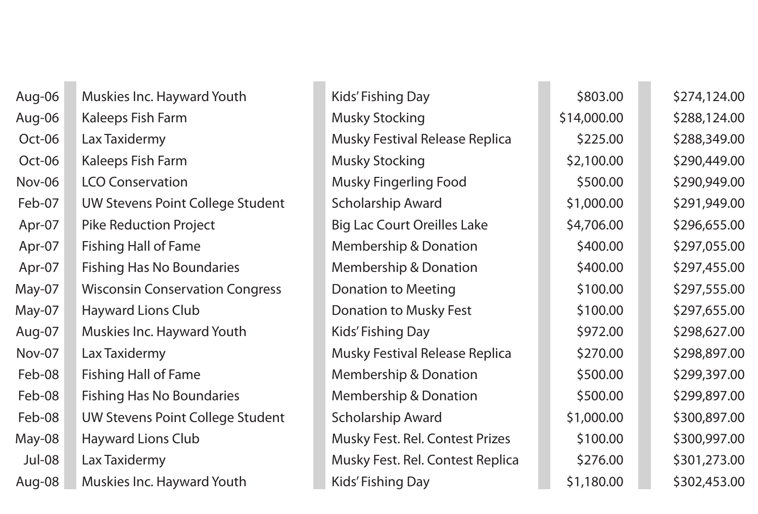| Muskies Inc. Hayward Youth              | Kids' Fishing Day                      | \$803.00    | \$274,124.00 |
|-----------------------------------------|----------------------------------------|-------------|--------------|
| Kaleeps Fish Farm                       | <b>Musky Stocking</b>                  | \$14,000.00 | \$288,124.00 |
| Lax Taxidermy                           | <b>Musky Festival Release Replica</b>  | \$225.00    | \$288,349.00 |
| <b>Kaleeps Fish Farm</b>                | <b>Musky Stocking</b>                  | \$2,100.00  | \$290,449.00 |
| <b>LCO Conservation</b>                 | <b>Musky Fingerling Food</b>           | \$500.00    | \$290,949.00 |
| UW Stevens Point College Student        | <b>Scholarship Award</b>               | \$1,000.00  | \$291,949.00 |
| <b>Pike Reduction Project</b>           | <b>Big Lac Court Oreilles Lake</b>     | \$4,706.00  | \$296,655.00 |
| <b>Fishing Hall of Fame</b>             | <b>Membership &amp; Donation</b>       | \$400.00    | \$297,055.00 |
| <b>Fishing Has No Boundaries</b>        | <b>Membership &amp; Donation</b>       | \$400.00    | \$297,455.00 |
| <b>Wisconsin Conservation Congress</b>  | <b>Donation to Meeting</b>             | \$100.00    | \$297,555.00 |
| <b>Hayward Lions Club</b>               | <b>Donation to Musky Fest</b>          | \$100.00    | \$297,655.00 |
| Muskies Inc. Hayward Youth              | Kids' Fishing Day                      | \$972.00    | \$298,627.00 |
| Lax Taxidermy                           | <b>Musky Festival Release Replica</b>  | \$270.00    | \$298,897.00 |
| <b>Fishing Hall of Fame</b>             | <b>Membership &amp; Donation</b>       | \$500.00    | \$299,397.00 |
| <b>Fishing Has No Boundaries</b>        | <b>Membership &amp; Donation</b>       | \$500.00    | \$299,897.00 |
| <b>UW Stevens Point College Student</b> | <b>Scholarship Award</b>               | \$1,000.00  | \$300,897.00 |
| <b>Hayward Lions Club</b>               | <b>Musky Fest. Rel. Contest Prizes</b> | \$100.00    | \$300,997.00 |
| Lax Taxidermy                           | Musky Fest. Rel. Contest Replica       | \$276.00    | \$301,273.00 |
| Muskies Inc. Hayward Youth              | Kids' Fishing Day                      | \$1,180.00  | \$302,453.00 |
|                                         |                                        |             |              |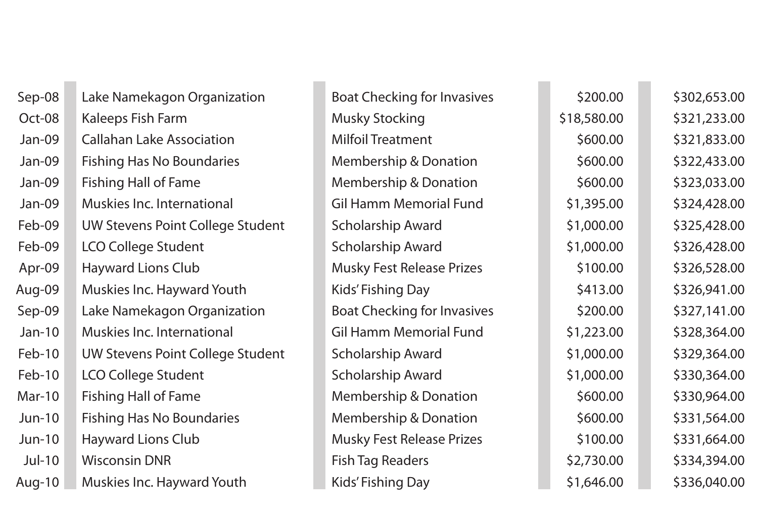| Sep-08        | Lake Namekagon Organization             | <b>Boat Checking for Invasives</b> | \$200.00    | \$302,653.00 |
|---------------|-----------------------------------------|------------------------------------|-------------|--------------|
| Oct-08        | Kaleeps Fish Farm                       | <b>Musky Stocking</b>              | \$18,580.00 | \$321,233.00 |
| Jan-09        | <b>Callahan Lake Association</b>        | <b>Milfoil Treatment</b>           | \$600.00    | \$321,833.00 |
| Jan-09        | <b>Fishing Has No Boundaries</b>        | <b>Membership &amp; Donation</b>   | \$600.00    | \$322,433.00 |
| Jan-09        | <b>Fishing Hall of Fame</b>             | <b>Membership &amp; Donation</b>   | \$600.00    | \$323,033.00 |
| Jan-09        | Muskies Inc. International              | <b>Gil Hamm Memorial Fund</b>      | \$1,395.00  | \$324,428.00 |
| Feb-09        | <b>UW Stevens Point College Student</b> | <b>Scholarship Award</b>           | \$1,000.00  | \$325,428.00 |
| Feb-09        | <b>LCO College Student</b>              | <b>Scholarship Award</b>           | \$1,000.00  | \$326,428.00 |
| Apr-09        | <b>Hayward Lions Club</b>               | <b>Musky Fest Release Prizes</b>   | \$100.00    | \$326,528.00 |
| Aug-09        | Muskies Inc. Hayward Youth              | Kids' Fishing Day                  | \$413.00    | \$326,941.00 |
| Sep-09        | Lake Namekagon Organization             | <b>Boat Checking for Invasives</b> | \$200.00    | \$327,141.00 |
| $Jan-10$      | Muskies Inc. International              | <b>Gil Hamm Memorial Fund</b>      | \$1,223.00  | \$328,364.00 |
| Feb-10        | <b>UW Stevens Point College Student</b> | <b>Scholarship Award</b>           | \$1,000.00  | \$329,364.00 |
| Feb-10        | <b>LCO College Student</b>              | <b>Scholarship Award</b>           | \$1,000.00  | \$330,364.00 |
| <b>Mar-10</b> | <b>Fishing Hall of Fame</b>             | <b>Membership &amp; Donation</b>   | \$600.00    | \$330,964.00 |
| $Jun-10$      | <b>Fishing Has No Boundaries</b>        | <b>Membership &amp; Donation</b>   | \$600.00    | \$331,564.00 |
| $Jun-10$      | <b>Hayward Lions Club</b>               | <b>Musky Fest Release Prizes</b>   | \$100.00    | \$331,664.00 |
| Jul-10        | <b>Wisconsin DNR</b>                    | <b>Fish Tag Readers</b>            | \$2,730.00  | \$334,394.00 |
| Aug-10        | <b>Muskies Inc. Hayward Youth</b>       | Kids' Fishing Day                  | \$1,646.00  | \$336,040.00 |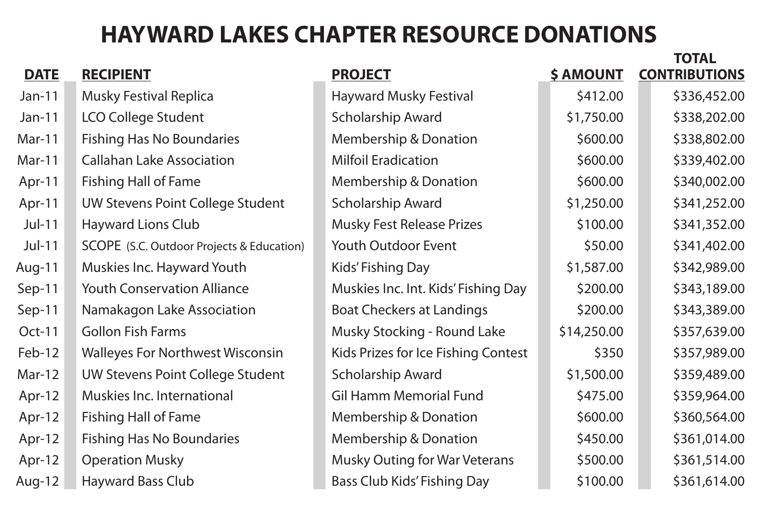|               |                                                  |                                      |                  | IVIAL                |
|---------------|--------------------------------------------------|--------------------------------------|------------------|----------------------|
| <b>DATE</b>   | <b>RECIPIENT</b>                                 | <b>PROJECT</b>                       | <b>\$ AMOUNT</b> | <b>CONTRIBUTIONS</b> |
| $Jan-11$      | <b>Musky Festival Replica</b>                    | <b>Hayward Musky Festival</b>        | \$412.00         | \$336,452.00         |
| $Jan-11$      | <b>LCO College Student</b>                       | <b>Scholarship Award</b>             | \$1,750.00       | \$338,202.00         |
| Mar-11        | <b>Fishing Has No Boundaries</b>                 | <b>Membership &amp; Donation</b>     | \$600.00         | \$338,802.00         |
| <b>Mar-11</b> | <b>Callahan Lake Association</b>                 | <b>Milfoil Eradication</b>           | \$600.00         | \$339,402.00         |
| $Apr-11$      | <b>Fishing Hall of Fame</b>                      | <b>Membership &amp; Donation</b>     | \$600.00         | \$340,002.00         |
| $Apr-11$      | UW Stevens Point College Student                 | <b>Scholarship Award</b>             | \$1,250.00       | \$341,252.00         |
| $Jul-11$      | <b>Hayward Lions Club</b>                        | <b>Musky Fest Release Prizes</b>     | \$100.00         | \$341,352.00         |
| $Jul-11$      | <b>SCOPE</b> (S.C. Outdoor Projects & Education) | <b>Youth Outdoor Event</b>           | \$50.00          | \$341,402.00         |
| Aug-11        | Muskies Inc. Hayward Youth                       | Kids' Fishing Day                    | \$1,587.00       | \$342,989.00         |
| Sep-11        | <b>Youth Conservation Alliance</b>               | Muskies Inc. Int. Kids' Fishing Day  | \$200.00         | \$343,189.00         |
| Sep-11        | Namakagon Lake Association                       | <b>Boat Checkers at Landings</b>     | \$200.00         | \$343,389.00         |
| <b>Oct-11</b> | <b>Gollon Fish Farms</b>                         | <b>Musky Stocking - Round Lake</b>   | \$14,250.00      | \$357,639.00         |
| Feb-12        | <b>Walleyes For Northwest Wisconsin</b>          | Kids Prizes for Ice Fishing Contest  | \$350            | \$357,989.00         |
| $Mar-12$      | <b>UW Stevens Point College Student</b>          | <b>Scholarship Award</b>             | \$1,500.00       | \$359,489.00         |
| Apr-12        | Muskies Inc. International                       | <b>Gil Hamm Memorial Fund</b>        | \$475.00         | \$359,964.00         |
| Apr-12        | <b>Fishing Hall of Fame</b>                      | Membership & Donation                | \$600.00         | \$360,564.00         |
| Apr-12        | <b>Fishing Has No Boundaries</b>                 | <b>Membership &amp; Donation</b>     | \$450.00         | \$361,014.00         |
| $Apr-12$      | <b>Operation Musky</b>                           | <b>Musky Outing for War Veterans</b> | \$500.00         | \$361,514.00         |
| Aug-12        | <b>Hayward Bass Club</b>                         | <b>Bass Club Kids' Fishing Day</b>   | \$100.00         | \$361,614.00         |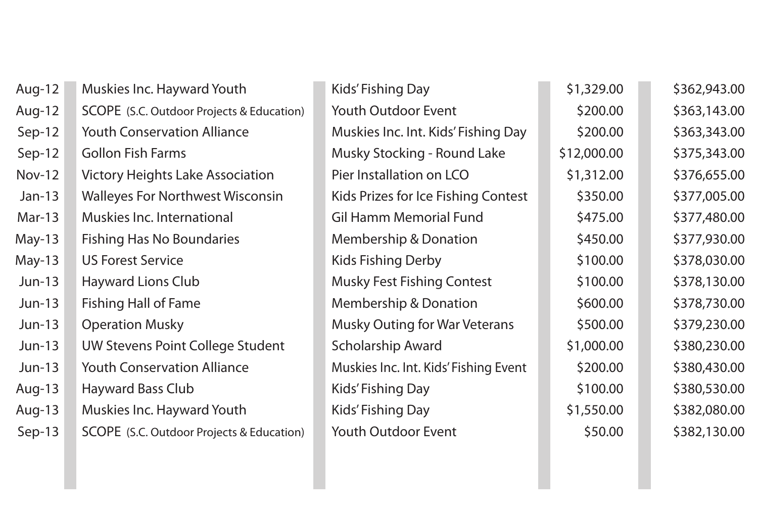| Aug-12        | <b>Muskies Inc. Hayward Youth</b>                | Kids' Fishing Day                     | \$1,329.00  | \$362,943.00 |
|---------------|--------------------------------------------------|---------------------------------------|-------------|--------------|
| Aug-12        | <b>SCOPE</b> (S.C. Outdoor Projects & Education) | <b>Youth Outdoor Event</b>            | \$200.00    | \$363,143.00 |
| Sep-12        | <b>Youth Conservation Alliance</b>               | Muskies Inc. Int. Kids' Fishing Day   | \$200.00    | \$363,343.00 |
| $Sep-12$      | <b>Gollon Fish Farms</b>                         | <b>Musky Stocking - Round Lake</b>    | \$12,000.00 | \$375,343.00 |
| <b>Nov-12</b> | <b>Victory Heights Lake Association</b>          | Pier Installation on LCO              | \$1,312.00  | \$376,655.00 |
| $Jan-13$      | <b>Walleyes For Northwest Wisconsin</b>          | Kids Prizes for Ice Fishing Contest   | \$350.00    | \$377,005.00 |
| <b>Mar-13</b> | <b>Muskies Inc. International</b>                | <b>Gil Hamm Memorial Fund</b>         | \$475.00    | \$377,480.00 |
| $May-13$      | <b>Fishing Has No Boundaries</b>                 | <b>Membership &amp; Donation</b>      | \$450.00    | \$377,930.00 |
| $May-13$      | <b>US Forest Service</b>                         | <b>Kids Fishing Derby</b>             | \$100.00    | \$378,030.00 |
| $Jun-13$      | <b>Hayward Lions Club</b>                        | <b>Musky Fest Fishing Contest</b>     | \$100.00    | \$378,130.00 |
| $Jun-13$      | <b>Fishing Hall of Fame</b>                      | <b>Membership &amp; Donation</b>      | \$600.00    | \$378,730.00 |
| $Jun-13$      | <b>Operation Musky</b>                           | <b>Musky Outing for War Veterans</b>  | \$500.00    | \$379,230.00 |
| <b>Jun-13</b> | UW Stevens Point College Student                 | <b>Scholarship Award</b>              | \$1,000.00  | \$380,230.00 |
| $Jun-13$      | <b>Youth Conservation Alliance</b>               | Muskies Inc. Int. Kids' Fishing Event | \$200.00    | \$380,430.00 |
| Aug-13        | <b>Hayward Bass Club</b>                         | Kids' Fishing Day                     | \$100.00    | \$380,530.00 |
| Aug-13        | <b>Muskies Inc. Hayward Youth</b>                | Kids' Fishing Day                     | \$1,550.00  | \$382,080.00 |
| $Sep-13$      | <b>SCOPE</b> (S.C. Outdoor Projects & Education) | <b>Youth Outdoor Event</b>            | \$50.00     | \$382,130.00 |
|               |                                                  |                                       |             |              |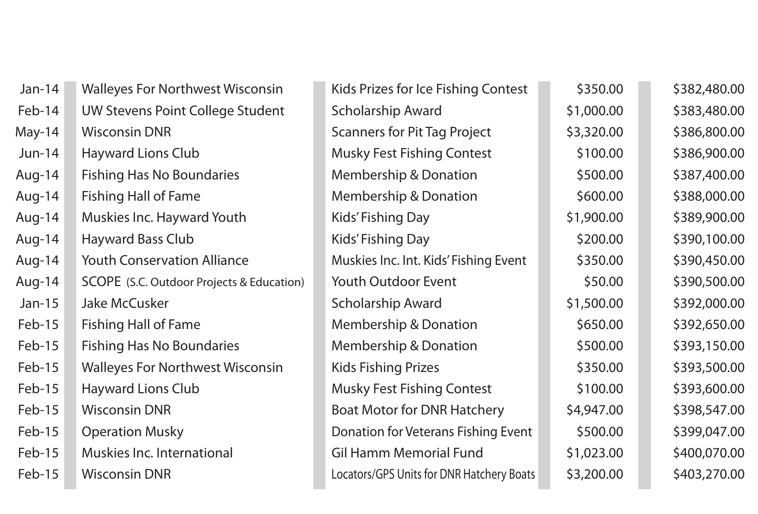| $Jan-14$ | <b>Walleyes For Northwest Wisconsin</b>   | Kids Prizes for Ice Fishing Contest       | \$350.00   | \$382,480.00 |
|----------|-------------------------------------------|-------------------------------------------|------------|--------------|
| Feb-14   | <b>UW Stevens Point College Student</b>   | <b>Scholarship Award</b>                  | \$1,000.00 | \$383,480.00 |
| May-14   | <b>Wisconsin DNR</b>                      | <b>Scanners for Pit Tag Project</b>       | \$3,320.00 | \$386,800.00 |
| $Jun-14$ | <b>Hayward Lions Club</b>                 | <b>Musky Fest Fishing Contest</b>         | \$100.00   | \$386,900.00 |
| Aug-14   | <b>Fishing Has No Boundaries</b>          | <b>Membership &amp; Donation</b>          | \$500.00   | \$387,400.00 |
| Aug-14   | <b>Fishing Hall of Fame</b>               | <b>Membership &amp; Donation</b>          | \$600.00   | \$388,000.00 |
| Aug-14   | Muskies Inc. Hayward Youth                | Kids' Fishing Day                         | \$1,900.00 | \$389,900.00 |
| Aug-14   | <b>Hayward Bass Club</b>                  | Kids' Fishing Day                         | \$200.00   | \$390,100.00 |
| Aug-14   | <b>Youth Conservation Alliance</b>        | Muskies Inc. Int. Kids' Fishing Event     | \$350.00   | \$390,450.00 |
| Aug-14   | SCOPE (S.C. Outdoor Projects & Education) | <b>Youth Outdoor Event</b>                | \$50.00    | \$390,500.00 |
| $Jan-15$ | <b>Jake McCusker</b>                      | <b>Scholarship Award</b>                  | \$1,500.00 | \$392,000.00 |
| Feb-15   | <b>Fishing Hall of Fame</b>               | <b>Membership &amp; Donation</b>          | \$650.00   | \$392,650.00 |
| Feb-15   | <b>Fishing Has No Boundaries</b>          | <b>Membership &amp; Donation</b>          | \$500.00   | \$393,150.00 |
| Feb-15   | <b>Walleyes For Northwest Wisconsin</b>   | <b>Kids Fishing Prizes</b>                | \$350.00   | \$393,500.00 |
| $Feb-15$ | <b>Hayward Lions Club</b>                 | <b>Musky Fest Fishing Contest</b>         | \$100.00   | \$393,600.00 |
| Feb-15   | <b>Wisconsin DNR</b>                      | <b>Boat Motor for DNR Hatchery</b>        | \$4,947.00 | \$398,547.00 |
| Feb-15   | <b>Operation Musky</b>                    | Donation for Veterans Fishing Event       | \$500.00   | \$399,047.00 |
| Feb-15   | Muskies Inc. International                | <b>Gil Hamm Memorial Fund</b>             | \$1,023.00 | \$400,070.00 |
| Feb-15   | <b>Wisconsin DNR</b>                      | Locators/GPS Units for DNR Hatchery Boats | \$3,200.00 | \$403,270.00 |
|          |                                           |                                           |            |              |

|      | Kids Prizes for Ice Fishing Contest       | \$350.00   | \$382,480.00 |
|------|-------------------------------------------|------------|--------------|
|      | <b>Scholarship Award</b>                  | \$1,000.00 | \$383,480.00 |
|      | <b>Scanners for Pit Tag Project</b>       | \$3,320.00 | \$386,800.00 |
|      | <b>Musky Fest Fishing Contest</b>         | \$100.00   | \$386,900.00 |
|      | <b>Membership &amp; Donation</b>          | \$500.00   | \$387,400.00 |
|      | <b>Membership &amp; Donation</b>          | \$600.00   | \$388,000.00 |
|      | <b>Kids' Fishing Day</b>                  | \$1,900.00 | \$389,900.00 |
|      | <b>Kids' Fishing Day</b>                  | \$200.00   | \$390,100.00 |
|      | Muskies Inc. Int. Kids' Fishing Event     | \$350.00   | \$390,450.00 |
| ion) | <b>Youth Outdoor Event</b>                | \$50.00    | \$390,500.00 |
|      | <b>Scholarship Award</b>                  | \$1,500.00 | \$392,000.00 |
|      | <b>Membership &amp; Donation</b>          | \$650.00   | \$392,650.00 |
|      | <b>Membership &amp; Donation</b>          | \$500.00   | \$393,150.00 |
|      | <b>Kids Fishing Prizes</b>                | \$350.00   | \$393,500.00 |
|      | <b>Musky Fest Fishing Contest</b>         | \$100.00   | \$393,600.00 |
|      | <b>Boat Motor for DNR Hatchery</b>        | \$4,947.00 | \$398,547.00 |
|      | Donation for Veterans Fishing Event       | \$500.00   | \$399,047.00 |
|      | <b>Gil Hamm Memorial Fund</b>             | \$1,023.00 | \$400,070.00 |
|      | Locators/GPS Units for DNR Hatchery Boats | \$3,200.00 | \$403,270.00 |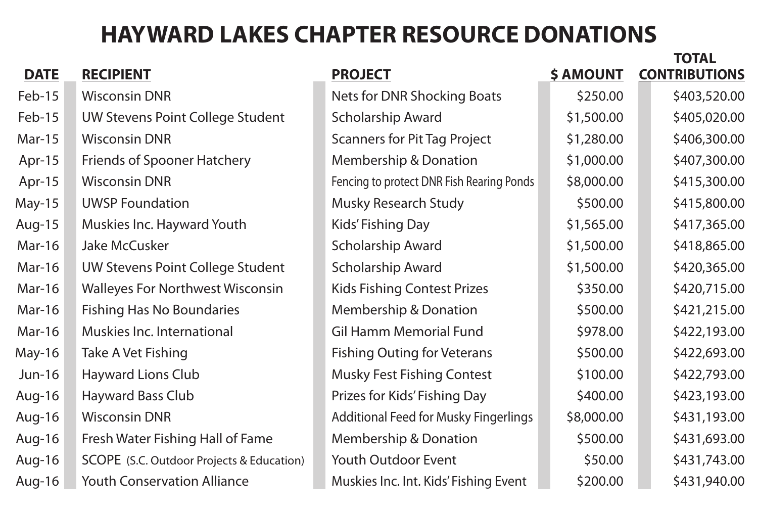| <b>DATE</b>   | <b>RECIPIENT</b>                          | <b>PROJECT</b>                               | <b>\$ AMOUNT</b> | IUIAL<br><b>CONTRIBUTIONS</b> |
|---------------|-------------------------------------------|----------------------------------------------|------------------|-------------------------------|
|               |                                           |                                              |                  |                               |
| Feb-15        | <b>Wisconsin DNR</b>                      | <b>Nets for DNR Shocking Boats</b>           | \$250.00         | \$403,520.00                  |
| Feb-15        | <b>UW Stevens Point College Student</b>   | <b>Scholarship Award</b>                     | \$1,500.00       | \$405,020.00                  |
| <b>Mar-15</b> | <b>Wisconsin DNR</b>                      | <b>Scanners for Pit Tag Project</b>          | \$1,280.00       | \$406,300.00                  |
| Apr-15        | <b>Friends of Spooner Hatchery</b>        | <b>Membership &amp; Donation</b>             | \$1,000.00       | \$407,300.00                  |
| Apr-15        | <b>Wisconsin DNR</b>                      | Fencing to protect DNR Fish Rearing Ponds    | \$8,000.00       | \$415,300.00                  |
| May-15        | <b>UWSP Foundation</b>                    | <b>Musky Research Study</b>                  | \$500.00         | \$415,800.00                  |
| Aug-15        | Muskies Inc. Hayward Youth                | Kids' Fishing Day                            | \$1,565.00       | \$417,365.00                  |
| <b>Mar-16</b> | <b>Jake McCusker</b>                      | <b>Scholarship Award</b>                     | \$1,500.00       | \$418,865.00                  |
| <b>Mar-16</b> | <b>UW Stevens Point College Student</b>   | <b>Scholarship Award</b>                     | \$1,500.00       | \$420,365.00                  |
| <b>Mar-16</b> | <b>Walleyes For Northwest Wisconsin</b>   | <b>Kids Fishing Contest Prizes</b>           | \$350.00         | \$420,715.00                  |
| Mar-16        | <b>Fishing Has No Boundaries</b>          | <b>Membership &amp; Donation</b>             | \$500.00         | \$421,215.00                  |
| <b>Mar-16</b> | Muskies Inc. International                | <b>Gil Hamm Memorial Fund</b>                | \$978.00         | \$422,193.00                  |
| May-16        | Take A Vet Fishing                        | <b>Fishing Outing for Veterans</b>           | \$500.00         | \$422,693.00                  |
| $Jun-16$      | <b>Hayward Lions Club</b>                 | <b>Musky Fest Fishing Contest</b>            | \$100.00         | \$422,793.00                  |
| Aug-16        | <b>Hayward Bass Club</b>                  | Prizes for Kids' Fishing Day                 | \$400.00         | \$423,193.00                  |
| Aug-16        | <b>Wisconsin DNR</b>                      | <b>Additional Feed for Musky Fingerlings</b> | \$8,000.00       | \$431,193.00                  |
| Aug-16        | Fresh Water Fishing Hall of Fame          | <b>Membership &amp; Donation</b>             | \$500.00         | \$431,693.00                  |
| Aug-16        | SCOPE (S.C. Outdoor Projects & Education) | <b>Youth Outdoor Event</b>                   | \$50.00          | \$431,743.00                  |
| Aug-16        | <b>Youth Conservation Alliance</b>        | Muskies Inc. Int. Kids' Fishing Event        | \$200.00         | \$431,940.00                  |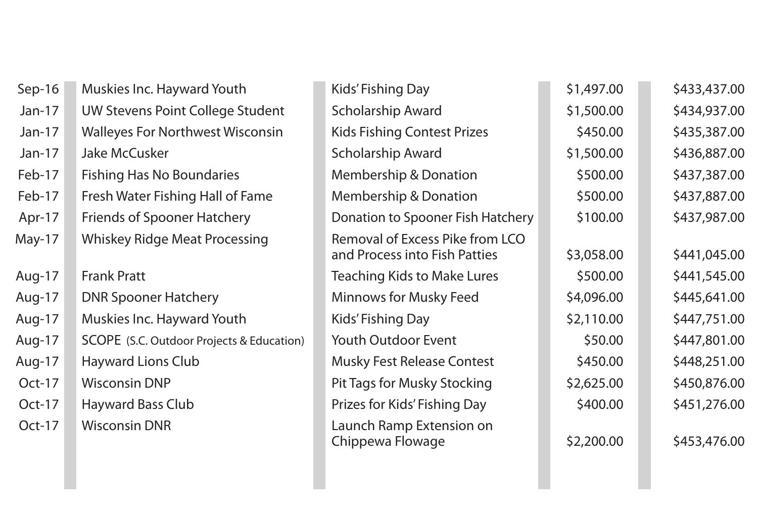| Sep-16   | Muskies Inc. Hayward Youth                | <b>Kids' Fishing Day</b>                                                | \$1,497.00 | \$433,437.00 |
|----------|-------------------------------------------|-------------------------------------------------------------------------|------------|--------------|
| $Jan-17$ | UW Stevens Point College Student          | <b>Scholarship Award</b>                                                | \$1,500.00 | \$434,937.00 |
| $Jan-17$ | <b>Walleyes For Northwest Wisconsin</b>   | <b>Kids Fishing Contest Prizes</b>                                      | \$450.00   | \$435,387.00 |
| $Jan-17$ | Jake McCusker                             | <b>Scholarship Award</b>                                                | \$1,500.00 | \$436,887.00 |
| Feb-17   | <b>Fishing Has No Boundaries</b>          | <b>Membership &amp; Donation</b>                                        | \$500.00   | \$437,387.00 |
| Feb-17   | Fresh Water Fishing Hall of Fame          | <b>Membership &amp; Donation</b>                                        | \$500.00   | \$437,887.00 |
| Apr-17   | <b>Friends of Spooner Hatchery</b>        | Donation to Spooner Fish Hatchery                                       | \$100.00   | \$437,987.00 |
| May-17   | <b>Whiskey Ridge Meat Processing</b>      | <b>Removal of Excess Pike from LCO</b><br>and Process into Fish Patties | \$3,058.00 | \$441,045.00 |
| Aug-17   | <b>Frank Pratt</b>                        | <b>Teaching Kids to Make Lures</b>                                      | \$500.00   | \$441,545.00 |
| Aug-17   | <b>DNR Spooner Hatchery</b>               | <b>Minnows for Musky Feed</b>                                           | \$4,096.00 | \$445,641.00 |
| Aug-17   | Muskies Inc. Hayward Youth                | Kids' Fishing Day                                                       | \$2,110.00 | \$447,751.00 |
| Aug-17   | SCOPE (S.C. Outdoor Projects & Education) | <b>Youth Outdoor Event</b>                                              | \$50.00    | \$447,801.00 |
| Aug-17   | <b>Hayward Lions Club</b>                 | <b>Musky Fest Release Contest</b>                                       | \$450.00   | \$448,251.00 |
| Oct-17   | <b>Wisconsin DNP</b>                      | <b>Pit Tags for Musky Stocking</b>                                      | \$2,625.00 | \$450,876.00 |
| Oct-17   | <b>Hayward Bass Club</b>                  | Prizes for Kids' Fishing Day                                            | \$400.00   | \$451,276.00 |
| $Oct-17$ | <b>Wisconsin DNR</b>                      | Launch Ramp Extension on<br>Chippewa Flowage                            | \$2,200.00 | \$453,476.00 |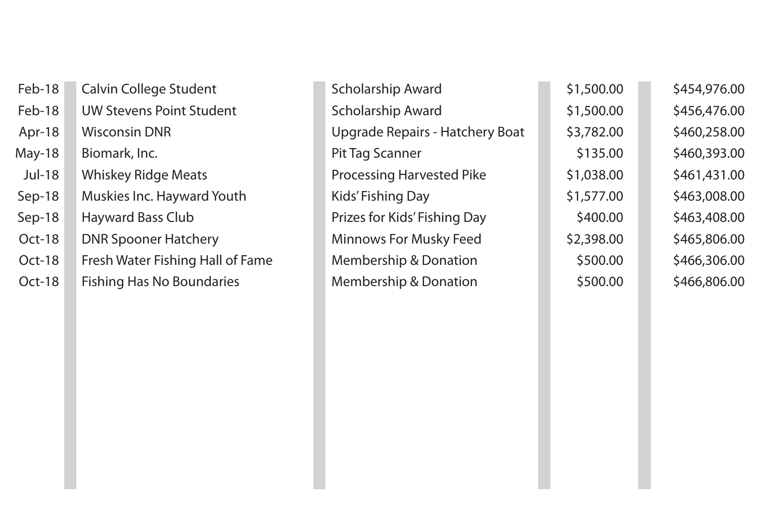| Feb-18        | <b>Calvin College Student</b>    | <b>Scholarship Award</b>               | \$1,500.00 | \$454,976.00 |
|---------------|----------------------------------|----------------------------------------|------------|--------------|
| Feb-18        | <b>UW Stevens Point Student</b>  | <b>Scholarship Award</b>               | \$1,500.00 | \$456,476.00 |
| Apr-18        | <b>Wisconsin DNR</b>             | <b>Upgrade Repairs - Hatchery Boat</b> | \$3,782.00 | \$460,258.00 |
| May-18        | Biomark, Inc.                    | <b>Pit Tag Scanner</b>                 | \$135.00   | \$460,393.00 |
| <b>Jul-18</b> | <b>Whiskey Ridge Meats</b>       | <b>Processing Harvested Pike</b>       | \$1,038.00 | \$461,431.00 |
| Sep-18        | Muskies Inc. Hayward Youth       | Kids' Fishing Day                      | \$1,577.00 | \$463,008.00 |
| Sep-18        | <b>Hayward Bass Club</b>         | Prizes for Kids' Fishing Day           | \$400.00   | \$463,408.00 |
| Oct-18        | <b>DNR Spooner Hatchery</b>      | <b>Minnows For Musky Feed</b>          | \$2,398.00 | \$465,806.00 |
| Oct-18        | Fresh Water Fishing Hall of Fame | <b>Membership &amp; Donation</b>       | \$500.00   | \$466,306.00 |
| Oct-18        | <b>Fishing Has No Boundaries</b> | <b>Membership &amp; Donation</b>       | \$500.00   | \$466,806.00 |
|               |                                  |                                        |            |              |

|    | <b>Scholarship Award</b>               | \$1,500.00 | \$454,976.00 |
|----|----------------------------------------|------------|--------------|
|    | <b>Scholarship Award</b>               | \$1,500.00 | \$456,476.00 |
|    | <b>Upgrade Repairs - Hatchery Boat</b> | \$3,782.00 | \$460,258.00 |
|    | <b>Pit Tag Scanner</b>                 | \$135.00   | \$460,393.00 |
|    | <b>Processing Harvested Pike</b>       | \$1,038.00 | \$461,431.00 |
|    | <b>Kids' Fishing Day</b>               | \$1,577.00 | \$463,008.00 |
|    | Prizes for Kids' Fishing Day           | \$400.00   | \$463,408.00 |
|    | <b>Minnows For Musky Feed</b>          | \$2,398.00 | \$465,806.00 |
| ne | <b>Membership &amp; Donation</b>       | \$500.00   | \$466,306.00 |
|    | <b>Membership &amp; Donation</b>       | \$500.00   | \$466,806.00 |
|    |                                        |            |              |